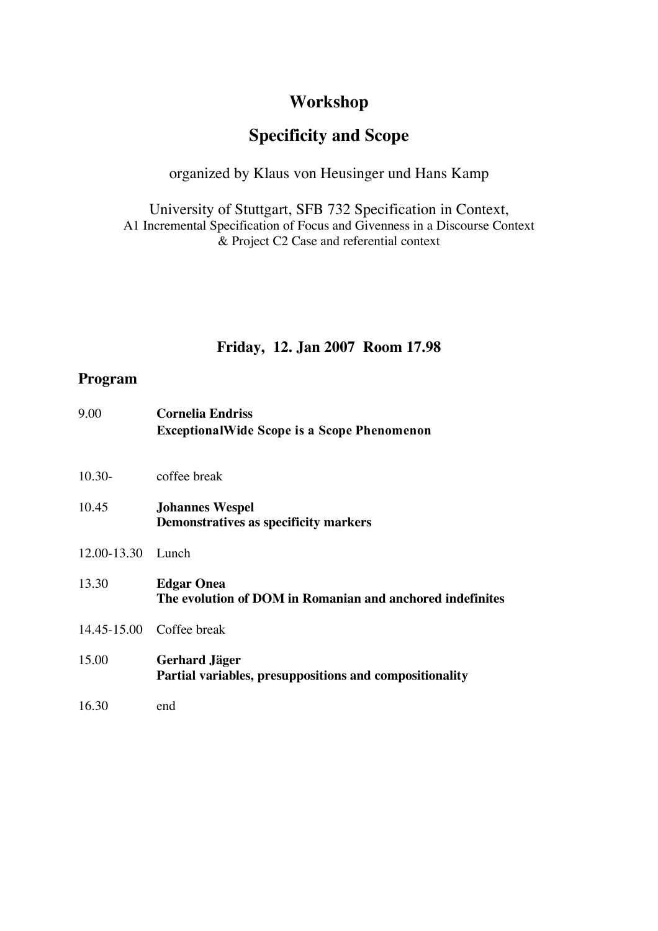# **Workshop**

# **Specificity and Scope**

### organized by Klaus von Heusinger und Hans Kamp

University of Stuttgart, SFB 732 Specification in Context, A1 Incremental Specification of Focus and Givenness in a Discourse Context & Project C2 Case and referential context

## **Friday, 12. Jan 2007 Room 17.98**

### **Program**

| 9.00              | <b>Cornelia Endriss</b><br><b>ExceptionalWide Scope is a Scope Phenomenon</b>  |
|-------------------|--------------------------------------------------------------------------------|
| $10.30-$          | coffee break                                                                   |
| 10.45             | <b>Johannes Wespel</b><br>Demonstratives as specificity markers                |
| 12.00-13.30 Lunch |                                                                                |
| 13.30             | <b>Edgar Onea</b><br>The evolution of DOM in Romanian and anchored indefinites |
|                   | 14.45-15.00 Coffee break                                                       |
| 15.00             | Gerhard Jäger<br>Partial variables, presuppositions and compositionality       |
| 16.30             | end                                                                            |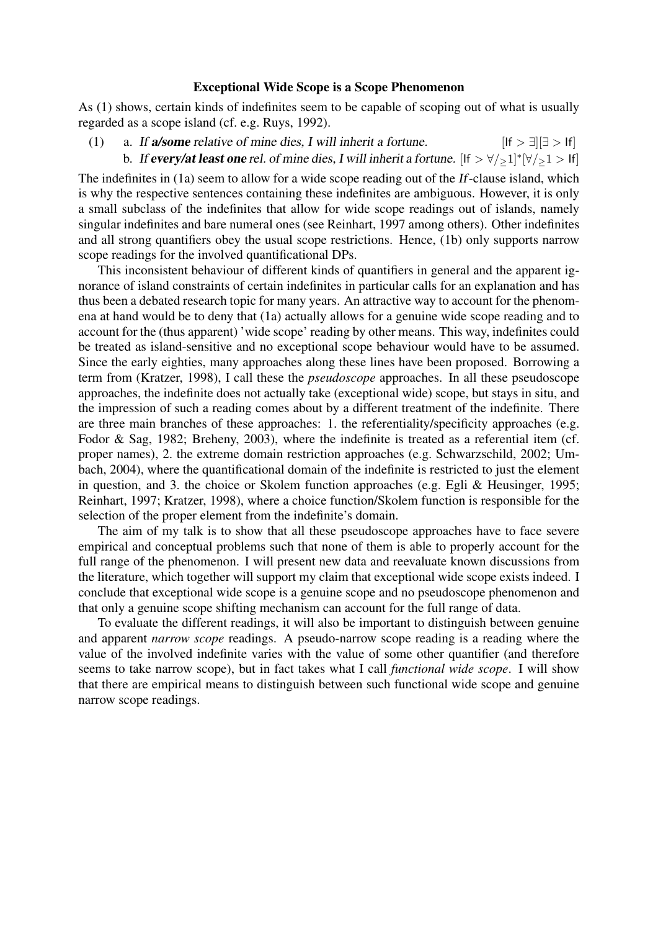#### Exceptional Wide Scope is a Scope Phenomenon

As (1) shows, certain kinds of indefinites seem to be capable of scoping out of what is usually regarded as a scope island (cf. e.g. Ruys, 1992).

(1) a. If **a/some** relative of mine dies, I will inherit a fortune.  $[If > \exists] \exists > |f|$ b. If every/at least one rel. of mine dies, I will inherit a fortune.  $[If > \forall /_2 1]^* [\forall /_2 1 > If]$ 

The indefinites in (1a) seem to allow for a wide scope reading out of the If-clause island, which is why the respective sentences containing these indefinites are ambiguous. However, it is only a small subclass of the indefinites that allow for wide scope readings out of islands, namely singular indefinites and bare numeral ones (see Reinhart, 1997 among others). Other indefinites and all strong quantifiers obey the usual scope restrictions. Hence, (1b) only supports narrow scope readings for the involved quantificational DPs.

This inconsistent behaviour of different kinds of quantifiers in general and the apparent ignorance of island constraints of certain indefinites in particular calls for an explanation and has thus been a debated research topic for many years. An attractive way to account for the phenomena at hand would be to deny that (1a) actually allows for a genuine wide scope reading and to account for the (thus apparent) 'wide scope' reading by other means. This way, indefinites could be treated as island-sensitive and no exceptional scope behaviour would have to be assumed. Since the early eighties, many approaches along these lines have been proposed. Borrowing a term from (Kratzer, 1998), I call these the *pseudoscope* approaches. In all these pseudoscope approaches, the indefinite does not actually take (exceptional wide) scope, but stays in situ, and the impression of such a reading comes about by a different treatment of the indefinite. There are three main branches of these approaches: 1. the referentiality/specificity approaches (e.g. Fodor & Sag, 1982; Breheny, 2003), where the indefinite is treated as a referential item (cf. proper names), 2. the extreme domain restriction approaches (e.g. Schwarzschild, 2002; Umbach, 2004), where the quantificational domain of the indefinite is restricted to just the element in question, and 3. the choice or Skolem function approaches (e.g. Egli & Heusinger, 1995; Reinhart, 1997; Kratzer, 1998), where a choice function/Skolem function is responsible for the selection of the proper element from the indefinite's domain.

The aim of my talk is to show that all these pseudoscope approaches have to face severe empirical and conceptual problems such that none of them is able to properly account for the full range of the phenomenon. I will present new data and reevaluate known discussions from the literature, which together will support my claim that exceptional wide scope exists indeed. I conclude that exceptional wide scope is a genuine scope and no pseudoscope phenomenon and that only a genuine scope shifting mechanism can account for the full range of data.

To evaluate the different readings, it will also be important to distinguish between genuine and apparent *narrow scope* readings. A pseudo-narrow scope reading is a reading where the value of the involved indefinite varies with the value of some other quantifier (and therefore seems to take narrow scope), but in fact takes what I call *functional wide scope*. I will show that there are empirical means to distinguish between such functional wide scope and genuine narrow scope readings.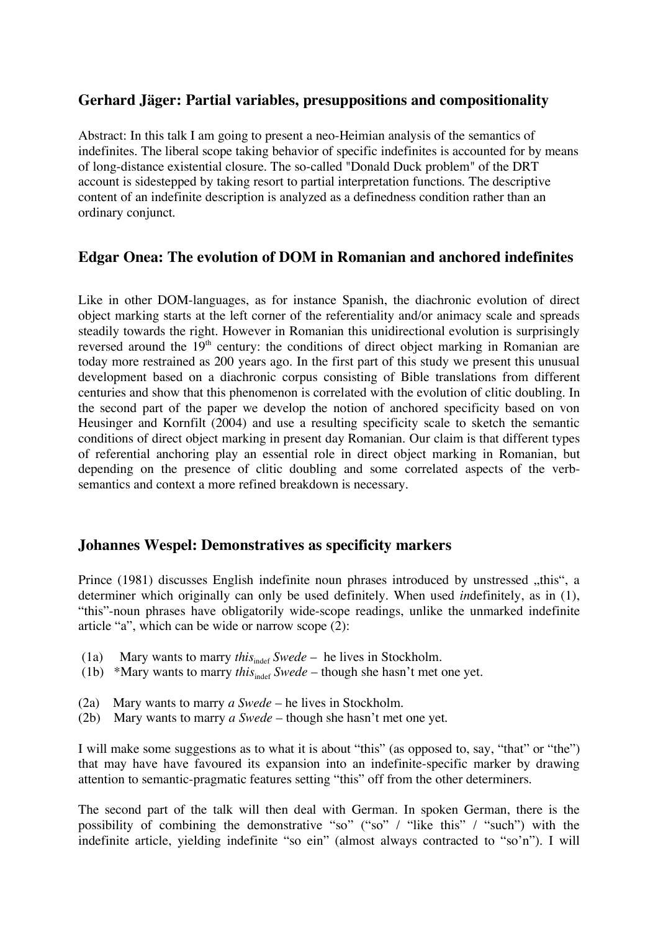### **Gerhard Jäger: Partial variables, presuppositions and compositionality**

Abstract: In this talk I am going to present a neo-Heimian analysis of the semantics of indefinites. The liberal scope taking behavior of specific indefinites is accounted for by means of long-distance existential closure. The so-called "Donald Duck problem" of the DRT account is sidestepped by taking resort to partial interpretation functions. The descriptive content of an indefinite description is analyzed as a definedness condition rather than an ordinary conjunct.

### **Edgar Onea: The evolution of DOM in Romanian and anchored indefinites**

Like in other DOM-languages, as for instance Spanish, the diachronic evolution of direct object marking starts at the left corner of the referentiality and/or animacy scale and spreads steadily towards the right. However in Romanian this unidirectional evolution is surprisingly reversed around the  $19<sup>th</sup>$  century: the conditions of direct object marking in Romanian are today more restrained as 200 years ago. In the first part of this study we present this unusual development based on a diachronic corpus consisting of Bible translations from different centuries and show that this phenomenon is correlated with the evolution of clitic doubling. In the second part of the paper we develop the notion of anchored specificity based on von Heusinger and Kornfilt (2004) and use a resulting specificity scale to sketch the semantic conditions of direct object marking in present day Romanian. Our claim is that different types of referential anchoring play an essential role in direct object marking in Romanian, but depending on the presence of clitic doubling and some correlated aspects of the verbsemantics and context a more refined breakdown is necessary.

#### **Johannes Wespel: Demonstratives as specificity markers**

Prince (1981) discusses English indefinite noun phrases introduced by unstressed "this", a determiner which originally can only be used definitely. When used *in*definitely, as in (1), "this"-noun phrases have obligatorily wide-scope readings, unlike the unmarked indefinite article "a", which can be wide or narrow scope (2):

- (1a) Mary wants to marry *this*<sub>indef</sub> *Swede* he lives in Stockholm.
- (1b) \*Mary wants to marry *this*<sub>indef</sub> *Swede* though she hasn't met one yet.
- (2a) Mary wants to marry *a Swede* he lives in Stockholm.
- (2b) Mary wants to marry *a Swede* though she hasn't met one yet.

I will make some suggestions as to what it is about "this" (as opposed to, say, "that" or "the") that may have have favoured its expansion into an indefinite-specific marker by drawing attention to semantic-pragmatic features setting "this" off from the other determiners.

The second part of the talk will then deal with German. In spoken German, there is the possibility of combining the demonstrative "so" ("so" / "like this" / "such") with the indefinite article, yielding indefinite "so ein" (almost always contracted to "so'n"). I will